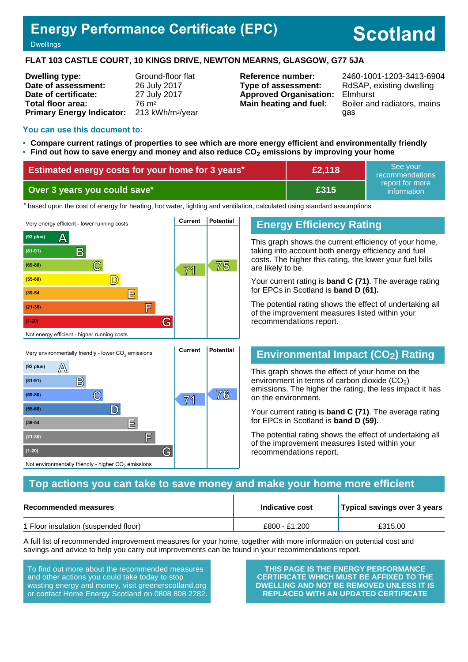## **Energy Performance Certificate (EPC)**

# **Scotland**

#### **Dwellings**

#### **FLAT 103 CASTLE COURT, 10 KINGS DRIVE, NEWTON MEARNS, GLASGOW, G77 5JA**

| <b>Dwelling type:</b>            | Ground-floor flat            |
|----------------------------------|------------------------------|
| Date of assessment:              | 26 July 2017                 |
| Date of certificate:             | 27 July 2017                 |
| Total floor area:                | 76 m <sup>2</sup>            |
| <b>Primary Energy Indicator:</b> | 213 kWh/m <sup>2</sup> /year |

**Type of assessment:** RdSAP, existing dwelling **Approved Organisation:** Elmhurst

**Reference number:** 2460-1001-1203-3413-6904 **Main heating and fuel:** Boiler and radiators, mains gas

#### **You can use this document to:**

- **Compare current ratings of properties to see which are more energy efficient and environmentally friendly**
- **Find out how to save energy and money and also reduce CO2 emissions by improving your home**

| Estimated energy costs for your home for 3 years* | £2,118 | See vour<br>recommendations    |
|---------------------------------------------------|--------|--------------------------------|
| Over 3 years you could save*                      | £315   | report for more<br>information |

the based upon the cost of energy for heating, hot water, lighting and ventilation, calculated using standard assumptions



## **Energy Efficiency Rating**

This graph shows the current efficiency of your home, taking into account both energy efficiency and fuel costs. The higher this rating, the lower your fuel bills are likely to be.

Your current rating is **band C (71)**. The average rating for EPCs in Scotland is **band D (61).**

The potential rating shows the effect of undertaking all of the improvement measures listed within your recommendations report.

## **Environmental Impact (CO2) Rating**

This graph shows the effect of your home on the environment in terms of carbon dioxide  $(CO<sub>2</sub>)$ emissions. The higher the rating, the less impact it has on the environment.

Your current rating is **band C (71)**. The average rating for EPCs in Scotland is **band D (59).**

The potential rating shows the effect of undertaking all of the improvement measures listed within your recommendations report.

#### **Top actions you can take to save money and make your home more efficient**

| Recommended measures                 | Indicative cost | Typical savings over 3 years |  |
|--------------------------------------|-----------------|------------------------------|--|
| 1 Floor insulation (suspended floor) | £800 - £1.200   | £315.00                      |  |

A full list of recommended improvement measures for your home, together with more information on potential cost and savings and advice to help you carry out improvements can be found in your recommendations report.

To find out more about the recommended measures and other actions you could take today to stop wasting energy and money, visit greenerscotland.org or contact Home Energy Scotland on 0808 808 2282.

Not environmentally friendly - higher  $\mathrm{CO}_2$  emissions

**THIS PAGE IS THE ENERGY PERFORMANCE CERTIFICATE WHICH MUST BE AFFIXED TO THE DWELLING AND NOT BE REMOVED UNLESS IT IS REPLACED WITH AN UPDATED CERTIFICATE**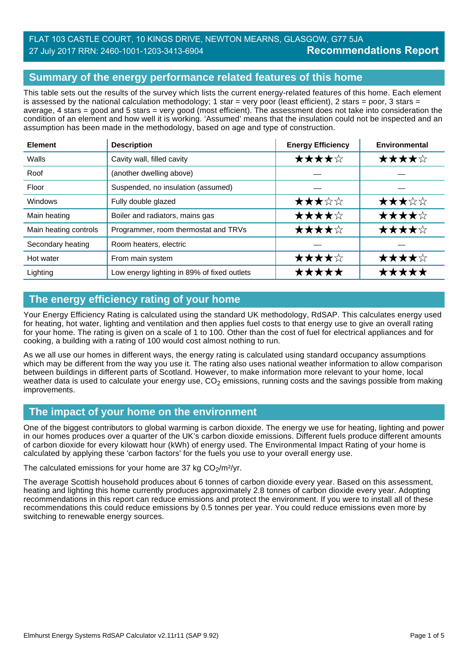## **Summary of the energy performance related features of this home**

This table sets out the results of the survey which lists the current energy-related features of this home. Each element is assessed by the national calculation methodology; 1 star = very poor (least efficient), 2 stars = poor, 3 stars = average, 4 stars = good and 5 stars = very good (most efficient). The assessment does not take into consideration the condition of an element and how well it is working. 'Assumed' means that the insulation could not be inspected and an assumption has been made in the methodology, based on age and type of construction.

| <b>Element</b>        | <b>Description</b>                          | <b>Energy Efficiency</b> | Environmental |
|-----------------------|---------------------------------------------|--------------------------|---------------|
| Walls                 | Cavity wall, filled cavity                  | ★★★★☆                    | ★★★★☆         |
| Roof                  | (another dwelling above)                    |                          |               |
| Floor                 | Suspended, no insulation (assumed)          |                          |               |
| <b>Windows</b>        | Fully double glazed                         | ★★★☆☆                    | ★★★☆☆         |
| Main heating          | Boiler and radiators, mains gas             | ★★★★☆                    | ★★★★☆         |
| Main heating controls | Programmer, room thermostat and TRVs        | ★★★★☆                    | ★★★★☆         |
| Secondary heating     | Room heaters, electric                      |                          |               |
| Hot water             | From main system                            | ★★★★☆                    | ★★★★☆         |
| Lighting              | Low energy lighting in 89% of fixed outlets | *****                    | *****         |

## **The energy efficiency rating of your home**

Your Energy Efficiency Rating is calculated using the standard UK methodology, RdSAP. This calculates energy used for heating, hot water, lighting and ventilation and then applies fuel costs to that energy use to give an overall rating for your home. The rating is given on a scale of 1 to 100. Other than the cost of fuel for electrical appliances and for cooking, a building with a rating of 100 would cost almost nothing to run.

As we all use our homes in different ways, the energy rating is calculated using standard occupancy assumptions which may be different from the way you use it. The rating also uses national weather information to allow comparison between buildings in different parts of Scotland. However, to make information more relevant to your home, local weather data is used to calculate your energy use,  $CO<sub>2</sub>$  emissions, running costs and the savings possible from making improvements.

## **The impact of your home on the environment**

One of the biggest contributors to global warming is carbon dioxide. The energy we use for heating, lighting and power in our homes produces over a quarter of the UK's carbon dioxide emissions. Different fuels produce different amounts of carbon dioxide for every kilowatt hour (kWh) of energy used. The Environmental Impact Rating of your home is calculated by applying these 'carbon factors' for the fuels you use to your overall energy use.

The calculated emissions for your home are 37 kg  $CO<sub>2</sub>/m<sup>2</sup>/yr$ .

The average Scottish household produces about 6 tonnes of carbon dioxide every year. Based on this assessment, heating and lighting this home currently produces approximately 2.8 tonnes of carbon dioxide every year. Adopting recommendations in this report can reduce emissions and protect the environment. If you were to install all of these recommendations this could reduce emissions by 0.5 tonnes per year. You could reduce emissions even more by switching to renewable energy sources.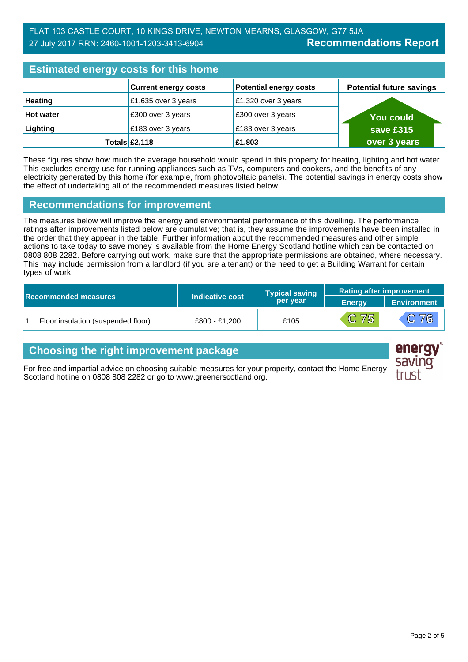| <b>Estimated energy costs for this home</b> |                             |                               |                                 |  |
|---------------------------------------------|-----------------------------|-------------------------------|---------------------------------|--|
|                                             | <b>Current energy costs</b> | <b>Potential energy costs</b> | <b>Potential future savings</b> |  |
| <b>Heating</b>                              | £1,635 over 3 years         | £1,320 over 3 years           |                                 |  |
| <b>Hot water</b>                            | £300 over 3 years           | £300 over 3 years             | <b>You could</b>                |  |
| Lighting                                    | £183 over 3 years           | £183 over 3 years             | save £315                       |  |
|                                             | Totals $\mathsf{E2,118}$    | £1,803                        | over 3 years                    |  |

These figures show how much the average household would spend in this property for heating, lighting and hot water. This excludes energy use for running appliances such as TVs, computers and cookers, and the benefits of any electricity generated by this home (for example, from photovoltaic panels). The potential savings in energy costs show the effect of undertaking all of the recommended measures listed below.

## **Recommendations for improvement**

The measures below will improve the energy and environmental performance of this dwelling. The performance ratings after improvements listed below are cumulative; that is, they assume the improvements have been installed in the order that they appear in the table. Further information about the recommended measures and other simple actions to take today to save money is available from the Home Energy Scotland hotline which can be contacted on 0808 808 2282. Before carrying out work, make sure that the appropriate permissions are obtained, where necessary. This may include permission from a landlord (if you are a tenant) or the need to get a Building Warrant for certain types of work.

|  |                                    |                 | <b>Typical saving</b> | <b>Rating after improvement</b> |             |
|--|------------------------------------|-----------------|-----------------------|---------------------------------|-------------|
|  | <b>Recommended measures</b>        | Indicative cost | per year              | <b>Energy</b>                   | Environment |
|  | Floor insulation (suspended floor) | £800 - £1.200   | £105                  | C 75                            | C76         |

## **Choosing the right improvement package**

For free and impartial advice on choosing suitable measures for your property, contact the Home Energy Scotland hotline on 0808 808 2282 or go to www.greenerscotland.org.



energy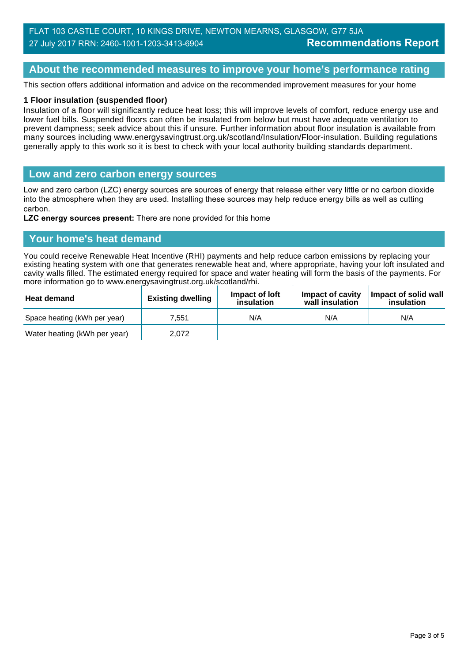## **About the recommended measures to improve your home's performance rating**

This section offers additional information and advice on the recommended improvement measures for your home

#### **1 Floor insulation (suspended floor)**

Insulation of a floor will significantly reduce heat loss; this will improve levels of comfort, reduce energy use and lower fuel bills. Suspended floors can often be insulated from below but must have adequate ventilation to prevent dampness; seek advice about this if unsure. Further information about floor insulation is available from many sources including www.energysavingtrust.org.uk/scotland/Insulation/Floor-insulation. Building regulations generally apply to this work so it is best to check with your local authority building standards department.

#### **Low and zero carbon energy sources**

Low and zero carbon (LZC) energy sources are sources of energy that release either very little or no carbon dioxide into the atmosphere when they are used. Installing these sources may help reduce energy bills as well as cutting carbon.

**LZC energy sources present:** There are none provided for this home

#### **Your home's heat demand**

You could receive Renewable Heat Incentive (RHI) payments and help reduce carbon emissions by replacing your existing heating system with one that generates renewable heat and, where appropriate, having your loft insulated and cavity walls filled. The estimated energy required for space and water heating will form the basis of the payments. For more information go to www.energysavingtrust.org.uk/scotland/rhi.

| <b>Heat demand</b>           | <b>Existing dwelling</b> | Impact of loft<br>insulation | Impact of cavity<br>wall insulation | Impact of solid wall<br>insulation |
|------------------------------|--------------------------|------------------------------|-------------------------------------|------------------------------------|
| Space heating (kWh per year) | 7.551                    | N/A                          | N/A                                 | N/A                                |
| Water heating (kWh per year) | 2.072                    |                              |                                     |                                    |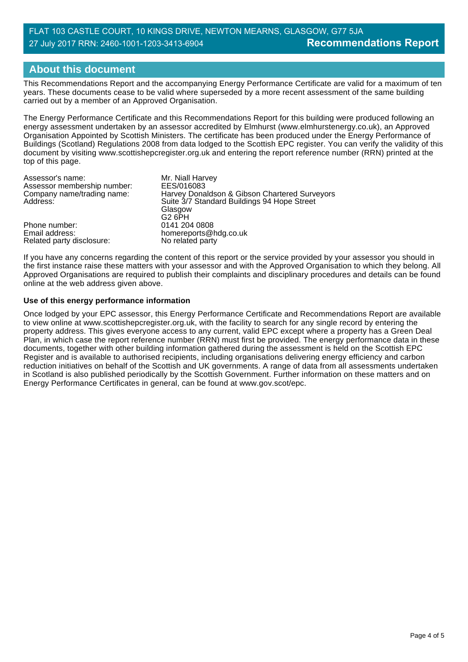## **About this document**

This Recommendations Report and the accompanying Energy Performance Certificate are valid for a maximum of ten years. These documents cease to be valid where superseded by a more recent assessment of the same building carried out by a member of an Approved Organisation.

The Energy Performance Certificate and this Recommendations Report for this building were produced following an energy assessment undertaken by an assessor accredited by Elmhurst (www.elmhurstenergy.co.uk), an Approved Organisation Appointed by Scottish Ministers. The certificate has been produced under the Energy Performance of Buildings (Scotland) Regulations 2008 from data lodged to the Scottish EPC register. You can verify the validity of this document by visiting www.scottishepcregister.org.uk and entering the report reference number (RRN) printed at the top of this page.

| Assessor's name:            | Mr. Niall Harvey                              |
|-----------------------------|-----------------------------------------------|
| Assessor membership number: | EES/016083                                    |
| Company name/trading name:  | Harvey Donaldson & Gibson Chartered Surveyors |
| Address:                    | Suite 3/7 Standard Buildings 94 Hope Street   |
|                             | Glasgow                                       |
|                             | G2 6PH                                        |
| Phone number:               | 0141 204 0808                                 |
| Email address:              | homereports@hdg.co.uk                         |
| Related party disclosure:   | No related party                              |

If you have any concerns regarding the content of this report or the service provided by your assessor you should in the first instance raise these matters with your assessor and with the Approved Organisation to which they belong. All Approved Organisations are required to publish their complaints and disciplinary procedures and details can be found online at the web address given above.

#### **Use of this energy performance information**

Once lodged by your EPC assessor, this Energy Performance Certificate and Recommendations Report are available to view online at www.scottishepcregister.org.uk, with the facility to search for any single record by entering the property address. This gives everyone access to any current, valid EPC except where a property has a Green Deal Plan, in which case the report reference number (RRN) must first be provided. The energy performance data in these documents, together with other building information gathered during the assessment is held on the Scottish EPC Register and is available to authorised recipients, including organisations delivering energy efficiency and carbon reduction initiatives on behalf of the Scottish and UK governments. A range of data from all assessments undertaken in Scotland is also published periodically by the Scottish Government. Further information on these matters and on Energy Performance Certificates in general, can be found at www.gov.scot/epc.